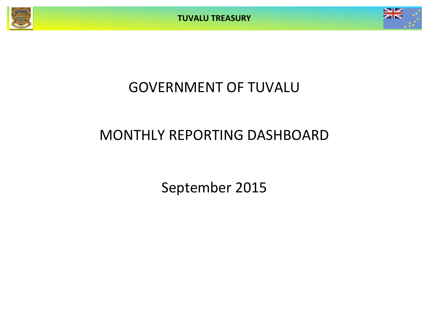**TUVALU TREASURY**



# GOVERNMENT OF TUVALU

# MONTHLY REPORTING DASHBOARD

September 2015

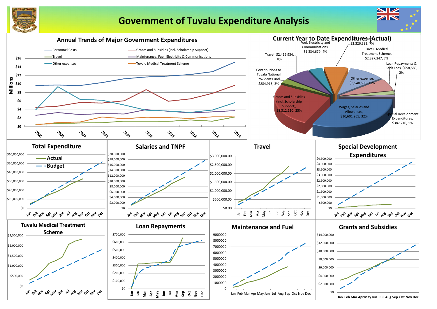

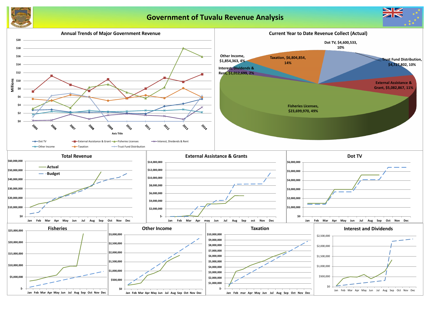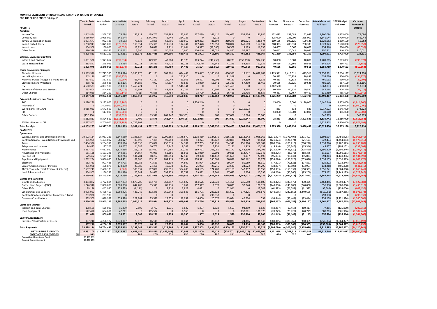### **MONTHLY STATEMENT OF RECEIPTS AND PAYENTS BY NATURE OF EXPENSE FOR THE PERIOD ENDED 30-Sep-15**

|                                                                       | Year to Date             | Year to Date            | Year to Date         | January              | February            | March              | April               | May               | June               | July                 | August            | September         | October                   | November                | December                 | <b>Actual+Forecast</b> | 2015 Budget                     | Variance                      |
|-----------------------------------------------------------------------|--------------------------|-------------------------|----------------------|----------------------|---------------------|--------------------|---------------------|-------------------|--------------------|----------------------|-------------------|-------------------|---------------------------|-------------------------|--------------------------|------------------------|---------------------------------|-------------------------------|
|                                                                       | Actual                   | <b>Budget</b>           | Variance             | Actual               | Actual              | Actual             | Actual              | Actual            | Actual             | Actual               | Actual            | Actual            | Forecast                  | Forecast                | Forecast                 | <b>Full Year</b>       | <b>Full Year</b>                | Forecast &                    |
| <b>RECEIPTS</b>                                                       |                          |                         |                      |                      |                     |                    |                     |                   |                    |                      |                   |                   |                           |                         |                          |                        |                                 | <b>Budget</b>                 |
| <b>Taxation</b>                                                       |                          |                         |                      |                      |                     |                    |                     |                   |                    |                      |                   |                   |                           |                         |                          |                        |                                 |                               |
| Income Tax                                                            | 1,443,844                | 1,368,750               | 75,094               | 156,812              | 139,705             | 151,885            | 155,686             | 157,439           | 161,410            | 214,665              | 154,256           | 151,986           | 152,083                   | 152,083                 | 152,083<br>225,000       | 1,900,094              | 1,825,000<br>2,700,000          | 75,094                        |
| Company Tax<br><b>Tuvalu Consumption Taxes</b>                        | 2,666,044<br>1,001,677   | 2,025,000<br>982,125    | 641,044<br>19,552    | 73,623               | 2,442,970<br>92,868 | 5,740<br>62,796    | 214,223<br>130,562  | 100,262           | 3,111<br>81,694    | 210,275              | 101,021           | 148,574           | 225,000<br>109,125        | 225,000<br>109,125      | 109,125                  | 3,341,044<br>1,329,052 | 1,309,500                       | 641,044<br>19,552             |
| Import Duty & Excise                                                  | 1,298,943                | 1,875,000               | (576, 057)           | 116,951              | 135,325             | 117,538            | 174,741             | 107,428           | 129,059            | 210,074              | 140,689           | 167,137           | 208,333                   | 208,333                 | 208,333                  | 1,923,943              | 2,500,000                       | (576, 057)                    |
| Import Levy                                                           | 104,968                  | 150,000                 | (45, 032)            | 13,996               | 26,029              | 9,111              | 11,644              | 16,327            | (18, 506)          | 16,502               | 13,129            | 16,735            | 16,667                    | 16,667                  | 16,667                   | 154,968                | 200,000                         | (45, 032)                     |
| <b>Other Taxes</b>                                                    | 290,386                  | 180,375                 | 110,01:              | 5,590                | 520                 | 50,436             | 2,600               | 100,446           | 59,031             | 14,840               | 56,287            | 636               | 20,042                    | 20,042                  | 20,042                   | 350,511                | 240,500                         | 110,011                       |
|                                                                       | 6,805,861                | 6,581,250               | 224,611              | 366,972              | 2,837,418           | 397,506            | 689,456             | 481,902           | 415,800            | 666,357              | 465,382           | 485,067           | 731,250                   | 731,250                 | 731,250                  | 8,999,611              | 8,775,000                       | 224,611                       |
| Interest, Dividends and Rent                                          |                          |                         |                      |                      |                     |                    |                     |                   |                    |                      |                   |                   |                           |                         |                          |                        |                                 |                               |
| Interest and Dividends                                                | 1,081,528                | 1,973,862               | (892, 334)           | $\mathbf{0}$         | 349,935             | 43,988             | 49,178              | 103,274           | (246, 253)         | 128,223              | (153, 191)        | 904,730           | 10,000                    | 10,000                  | 10,000                   | 1,209,885              | 2,003,862                       | (793, 977)                    |
| Lease, rent and hire                                                  | 313,547                  | 275,093                 | 38,454               | 39,711               | 16,310              | 45,471             | 35,228              | (27, 670)         | 37,342             | 41,246               | 58,235            | 12,332            | 30,566                    | 30,566                  | 30,566                   | 349,904                | 366,791                         | (16, 886)                     |
|                                                                       | 1,395,076                | 2,248,955               | (853, 879)           | 39,711               | 366,245             | 89,459             | 84,406              | 75,604            | (208, 910)         | 169,469              | (94, 956)         | 917,062           | 40,566                    | 40,566                  | 40,566                   | 1,559,789              | 2,370,653                       | (810, 864)                    |
| <b>Other Government Charges</b>                                       |                          |                         |                      |                      |                     |                    |                     |                   |                    |                      |                   |                   |                           |                         |                          |                        |                                 |                               |
| <b>Fisheries Licenses</b>                                             | 23,699,970               | 12,775,595              | 10,924,37            | 3,285,770            | 451,191             | 809,901            | 694,449             | 595,447           | 3,180,495          | 636,916              | 13,112            | 14,032,689        | 1,419,511                 | 1,419,511               | 1,419,511                | 27,958,501             | 17,034,127                      | 10,924,374                    |
| <b>Vessel Registrations</b>                                           | 443,130                  | 637,500                 | (194, 370)           | - 0                  | $\overline{0}$      | $\Omega$           | 261,810             | $\overline{0}$    | C                  | 181,319              |                   |                   | 70,833                    | 70,833                  | 70,833                   | 655,630                | 850,000                         | (194, 370)                    |
| Marine Services (Nivaga II & Manu Folau)                              | 337,592                  | 367,500                 | (29, 907)            | 61,446               | 41,181              | 22,049             | 53,956              | 30,397            | 45,208             | 40,121               | 37,899            | 5,336             | 40,833                    | 40,833                  | 40,833                   | 460,092                | 490,000                         | (29, 907)                     |
| Stevedoring and Wharfage                                              | 388,731                  | 275,625<br>4,087,500    | 113,106<br>513,033   | 24,688<br>1,460,721  | 7,952<br>- C        | 17,317<br>$\Omega$ | 49,625<br>1,548,344 | 33,050<br>- 0     | 56,841             | 125,381              | 57,410            | 16,466            | 30,625                    | 30,625<br>- 0           | 30,625                   | 480,606<br>5,963,033   | 367,500<br>5,450,000            | 113,106<br>513,033            |
| .TV<br>Provision of Goods and Services                                | 4,600,533<br>463,604     | 544,680                 | (81,076)             | 17,991               | 17,750              | 48,259             | 31,741              | 36,113            | 30,507             | 1,591,468<br>109,278 | 78,994            | 92,972            | 1,362,500<br>60,520       | 60,520                  | 60,520                   | 645,164                | 726,240                         | (81,076)                      |
| Other Charges                                                         | 214,060                  | 364,200                 | (150, 140)           | (101)                | 46,888              | 18,484             | 20,757              | 13,709            | 29,611             | 16,466               | 21,708            | 46,537            | 40,467                    | 40,467                  | 40,467                   | 335,460                | 485,600                         | (150, 140)                    |
|                                                                       | 30,147,620               | 19,052,601              | 11,095,019           | 4,850,514            | 564,962             | 916,010            | 2,660,683           | 708,717           | 3,342,662          | 2,700,950            | 209,124           | 14,193,999        | 3,025,289                 | 1,662,789               | 1,662,789                | 36,498,487             | 25,403,468                      | 11,095,019                    |
| <b>External Assistance and Grants</b>                                 |                          |                         |                      |                      |                     |                    |                     |                   |                    |                      |                   |                   |                           |                         |                          |                        |                                 |                               |
| <b>ROC</b>                                                            | 3,220,240                | 5,135,000               | (1, 914, 760)        | $\Omega$             |                     | $\Omega$           |                     | 3,220,240         |                    |                      |                   |                   | 15,000                    | 15,000                  | 3,190,000                | 6,440,240              | 8,355,000                       | (1,914,760)                   |
| AusAID (CIF)                                                          |                          | 1,500,000               | 1,500,000            |                      |                     | $\Omega$           |                     |                   |                    |                      |                   |                   |                           |                         |                          |                        | 1,500,000                       | (1,500,000)                   |
| World Bank, IMF, ADB                                                  | 2,015,023                | 1,642,500               | 372,523              |                      |                     | $\Omega$           |                     |                   |                    |                      | 2,015,023         |                   | 833                       | 833                     | 833                      | 2,017,523              | 1,645,000                       | 372,523                       |
| <b>PDF</b>                                                            |                          | 117,000                 | (117,000)            | $\Omega$             |                     | $\Omega$           |                     |                   |                    |                      |                   |                   | 13,000                    | 13,000                  | 13,000                   | 39,000                 | 156,000                         | (117,000)                     |
| <b>Other Donors</b>                                                   | (152, 396)               |                         | (152.396)            | 2,499                | 13,578              | 261,247            | (220, 505)          | 2,748             | 100                | 247,687              | 10,624            | 25,000            | $\Omega$                  |                         |                          | 342,979                |                                 | 342,979                       |
|                                                                       | 5,082,867                | 8,394,500               | (3,311,633)          | 2,499                | 13,578              | 261,247            | (220, 505)          | 3,222,988         | 100                | 247,687              | 2,025,647         | 25,000            | 28,833                    | 28,833                  | 3,203,833                | 8,839,742              | 11,656,000                      | (2,816,258)                   |
| TTF Distribution to CIF                                               | 4,727,802                | 8,700,000               | (3,972,198)          | 4,727,802            | $\Omega$            | $\Omega$           |                     | - 0               | $\Omega$           |                      |                   |                   | $\Omega$                  | $\cap$                  |                          | 4,727,802              | 8,700,000                       | (3,972,198)                   |
| <b>Total Receipts</b>                                                 | 48,159,225               | 44,977,306              | 3,181,919            | 9,987,497            | 3,782,203           | 1,664,223          | 3,214,039           | 4,489,212         | 3,549,652          | 3,784,463            | 2,605,198         | 15,621,129        | 3,825,938                 | 2,463,438               | 5,638,438                | 60,625,430             | 56,905,120                      | 3,720,310                     |
| <b>PAYMENTS</b>                                                       |                          |                         |                      |                      |                     |                    |                     |                   |                    |                      |                   |                   |                           |                         |                          |                        |                                 |                               |
| <i><u><b>Operations</b></u></i>                                       |                          |                         |                      |                      |                     |                    |                     |                   |                    |                      |                   |                   |                           |                         |                          |                        |                                 |                               |
| Wages, Salaries, and Employee Benefits                                | 10,623,134               | 15,967,223              | 5,344,089            | 1,105,827            | 1,154,301           | 1,099,353          | 1,145,579           | 1,118,469         | 1,124,875          | 1,666,126            | 1,113,542         |                   | $1,095,062$ $(1,371,407)$ | (1,371,407)             | (1,371,407)              | 6,508,914              | (16, 456, 925)                  | (22, 965, 840)                |
| Contributions to Tuvalu National Provident Fund                       | 885,955                  | 1,454,082               | 568,127              | 88,190               | 97,339              | 90,753             | 94,891              | 93,274            | 88,127             | 142,888              | 94,829            | 95,664            | (121, 174)                | (121, 174)              | (121, 174)               | 522,434                | (1,454,083)                     | (1,976,516)                   |
| Travel                                                                | 2,434,396                | 3,204,911               | 770,514              | 351,050              | 155,032             | 256,613            | 184,381             | 177,755           | 395,735            | 294,349              | 251,380           | 368,101           | (200, 210)                | (200, 210)              | (200, 210)               | 1,833,766              | (2,402,523)                     | (4, 236, 289)                 |
| Telephone and Internet                                                | 94,495                   | 187,502                 | 93,007               | 14,285               | 10,703              | 16,147             | 9,203               | 7,732             | 7,851              | 7,121                | 11,315            | 10,139            | (15, 346)                 | (15, 346)               | (15, 346)                | 48,457                 | (184, 152)                      | (232, 609)                    |
| Maintenance                                                           | 2,867,791                | 4,681,957               | 1,814,166            | 105,718              | 133,652             | 340,285            | 121,786             | 189,791           | 165,080            | 433,177              | 1,043,600         | 334,701           | (425, 520)                | (425, 520)              | (425, 520)               | 1,591,229              | (5,606,246)                     | (7, 197, 475)                 |
| <b>Advertising and Provisions</b>                                     | 581,165                  | 1,121,246               | 540,081              | 14,564               | 46,080              | 56,666             | 28,666              | 123,060           | 17,191             | 79,818               | 112,777           | 102,342           | (88, 376)                 | (88, 376)               | (88, 376)                | 316,037                | (1,060,511)                     | (1, 376, 548)                 |
| Fuel and Oil<br>Supplies and Equipment                                | 679,402<br>1,792,234     | 1,129,146<br>3,036,635  | 449,744<br>1,244,401 | 131,281<br>61,880    | 68,287<br>139,195   | 108,054<br>284,715 | 42,546<br>237,437   | 49,308<br>178,371 | 131,432<br>356,805 | 111,661<br>190,897   | 9,137<br>162,162  | 27,696<br>180,771 | (95, 033)<br>(253, 026)   | (95, 033)<br>(253, 026) | (95, 033)<br>(253, 026)  | 394,303<br>1,033,155   | (1, 140, 396)<br>(3,036,315)    | (1,534,699)<br>(4,069,470)    |
| Electricity                                                           | 562,783                  | 907,488                 | 344,705              | 25,786               | 41,559              | 66,630             | 74,807              | 85,974            | 122,346            | 19,274               | 80,089            | 46,319            | (77, 821)                 | (77, 821)               | (77, 821)                | 329,322                | (933, 846)                      | (1, 263, 168)                 |
| Senior Citizen Scheme / Pension                                       | 235,988                  | 406,878                 | 170,890              | 23,380               | 24,360              | 40,978             | 23,660              | 25,932            | 25,246             | 23,520               | 24,622            | 24,290            | (33,907)                  | (33,907)                | (33,907)                 | 134,268                | (406, 878)                      | (541, 146)                    |
| TMTS (Tuvalu Medical Treatment Scheme)                                | 2,507,241                | 2,490,173               | (17,068)             | 309,637              | 167,838             | 295,051            | 364,203             | 128,195           | 174,200            | 632,160              | 342,397           | 93,559            | (150, 333)                | (150, 333)              | (150, 333)               | 2,056,241              | (1,804,000)                     | (3,860,241)                   |
| Land & Property Rent                                                  | 864,903                  | 1,156,283               | 291,380              | 25,247               | 34,653              | 598,153            | 133,759             | 29,872            | 12,761             | 17,637               | 2,226             | 10,595            | (95, 260)                 | (95, 260)               | (95, 260)                | 579,122                | (1, 143, 125)                   | (1,722,246)                   |
|                                                                       | 24,129,487               | 35,743,522              | 11,614,036           | 2,256,845            | 2,072,998           | 3,253,398          | 2,460,919           | 2,207,733         | 2,621,649          | 3,618,629            | 3,248,077         | 2,389,239         | (2,927,413)               | (2,927,413)             | (2,927,413)              | 15,347,248             | (35, 628, 999)                  | (50, 976, 247)                |
| <b>Grants and Subsidies</b>                                           |                          |                         |                      |                      |                     |                    |                     |                   |                    |                      |                   |                   |                           |                         |                          |                        |                                 |                               |
| <b>Grants and Subsidies</b>                                           | 3,454,872                | 4,772,804               | 1,317,932            | 1,673,706            | 182,785             | 362,347            | 164,627             | 264,576           | 261,320            | 191,356              | 235,550           | 118,605           | (330, 475)                | (330, 475)              | (330, 475)               | 2,463,446              | (4,659,437)                     | (7, 122, 883)                 |
| Outer Island Projects (SDE)                                           | 1,276,910                | 2,880,000               | 1,603,090            | 644,780              | 35,379              | 85,216             | 1,651               | 157,317           | 1,370              | 130,035              | 92,840            | 128,321           | (240,000)                 | (240,000)               | (240,000)                | 556,910                | (2,880,000)                     | (3,436,910)                   |
| Other SDEs                                                            | 89,186                   | 442,925                 | 353,739              | (8, 184)             | - C                 | 12,814             | 3,827               | 4,071             |                    | 62,911               |                   | 13,747            | (61, 583)                 | (61, 583)               | (61, 583)                | (95, 564)              | (739,000)                       | (643, 436)                    |
| Scholarships and Support                                              | 2,905,983                | 6,456,459               | 3,550,476            | 426,246              | 232,248             | 365,842            | 359,636             | 181,791           | 205,622            | 481,602              | 377,325           | 275,672           | (240, 655)                | (240, 655)              | (3, 240, 655)            | (815,981)              | (5,887,855)                     | (5,071,874)                   |
| Contribution to Japan Grant Counterpart Fund                          | 293,938                  | 293,938                 |                      | $\Omega$             | - C                 | $\Omega$           | $\Omega$            |                   | 293,938            | $\overline{0}$       |                   |                   | 0                         |                         |                          | 293,938                |                                 | (293, 938)                    |
| <b>Overseas Contributions</b>                                         | 539,509<br>8,560,398     | 1,098,987<br>15,945,113 | 559,478<br>7,384,715 | 227,967<br>2,964,515 | 75,512<br>525,924   | 23,553<br>849,772  | 119,957<br>649,698  | 16,000<br>623,756 | 20,670<br>782,919  | 13,054<br>878,958    | 42,204<br>747,919 | 591<br>536,936    | (93, 444)<br>(966, 157)   | (93, 444)<br>(966, 157) | (93, 444)<br>(3,966,157) | 259,178<br>2,661,927   | (1, 121, 324)<br>(15, 287, 615) | (1,380,502)<br>(17, 949, 543) |
| <b>Loans and Interest</b>                                             |                          |                         |                      |                      |                     |                    |                     |                   |                    |                      |                   |                   |                           |                         |                          |                        |                                 |                               |
| Interest and Bank Charges                                             | 108,561                  | 125,000                 | 16,439               | 2,505                | 2,777               | 1,935              | 1,822               | 1,307             | 1,529              | 1,559                | 93,299            | 1,828             | (10, 417)                 | (10, 417)               | (10, 417)                | 77,311                 | (125,000)                       | (202, 310)                    |
| Loan Repayment                                                        | 642,470                  | 684,681                 | 42,211               | - 0                  | 315,522             | $\Omega$           | 8,568               | $\overline{0}$    | $\Omega$           | $\Omega$             | 137,001           | 181,378           | (20, 729)                 | (20, 729)               | (20, 729)                | 580,283                | (601, 966)                      | (1, 182, 249)                 |
|                                                                       | 751,030                  | 809,681                 | 58,651               | 2,505                | 318,299             | 1,935              | 10,390              | 1,307             | 1,529              | 1,559                | 230,300           | 183,206           | (31, 145)                 | (31, 145)               | (31, 145)                | 657,594                | (726, 966)                      | (1,384,560)                   |
| Capital Expenditures                                                  |                          |                         |                      |                      |                     |                    |                     |                   |                    |                      |                   |                   |                           |                         |                          |                        |                                 |                               |
| Purchase/construction of assets                                       | 387,210                  | 4,266,177               | 3,878,967            | 75,178               | 46,111              | 22,259             | 70,044              | 5,006             | 88,132             | 10,020               | 24,316            | 46,143            | (380, 365)                | (380, 365)              | (380, 365)               | (753, 885)             | (4, 564, 377)                   | (3,810,492)                   |
|                                                                       | 387,210                  | 4,266,177               | 3,878,967            | 75,178               | 46,111              | 22,259             | 70,044              | 5,006             | 88,132             | 10,020               | 24,316            | 46,143            | (380, 365)                | (380, 365)              | (380, 365)               | (753, 885)             | (4, 564, 377)                   | (3,810,492)                   |
| <b>Total Payments</b>                                                 | 33,828,124               | 56,764,493              | 22,936,368           | 5,299,043            | 2,963,333           | 4,127,365          | 3,191,051           | 2,837,803         | 3,494,230          | 4,509,165            | 4,250,612         | 3,155,523         | (4,305,080)               | (4,305,080)             | (7, 305, 080)            | 17,912,885             | (56, 207, 957)                  | (74, 120, 841)                |
| <b>NET SURPLUS / (DEFICIT)</b>                                        | 14,331,100               | (11,787,187)            | 26,118,287           | 4,688,454            | 818,870             | (2,463,142)        | 22,988              | 1,651,409         | 55,422             | (724, 702)           | (1,645,414)       | 12,465,606        | 8,131,018                 | 6,768,518               | 12,943,518               | 42,712,546             | 113,113,077                     | (70, 400, 532)                |
| <b>FORECAST CASH POSITION</b><br>\$M                                  | 36.9                     |                         |                      | 26.7                 | 27.5                | 25.1               | 25.1                | 26.8              | 26.8               | 26.1                 | 24.4              | 36.9              | 45.0                      | 51.8                    | 64.7                     |                        |                                 |                               |
| <b>Consolidated Investment Fund</b><br><b>General Current Account</b> | 25,415,215<br>11,490,155 |                         |                      |                      |                     |                    |                     |                   |                    |                      |                   |                   |                           |                         |                          |                        |                                 |                               |
|                                                                       |                          |                         |                      |                      |                     |                    |                     |                   |                    |                      |                   |                   |                           |                         |                          |                        |                                 |                               |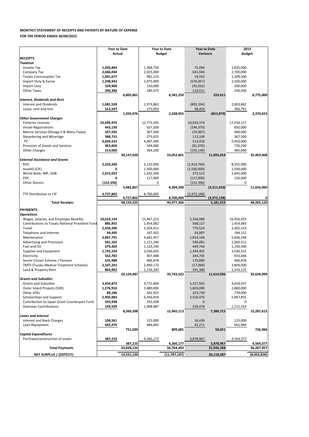| Purchase/construction of assets | 387,210    | 4.266.177    | 3,878,967  | 4.564.377   |
|---------------------------------|------------|--------------|------------|-------------|
|                                 | 387,210    | 4.266.177    | 3,878,967  | 4.564.377   |
| <b>Total Payments</b>           | 33.828.124 | 56.764.493   | 22,936,368 | 56,207,957  |
| NET SURPLUS / (DEFECIT)         | 14,331,100 | (11,787,187) | 26,118,287 | (8,002,836) |

|                                                        | <b>Year to Date</b> |            | <b>Year to Date</b> |            | <b>Year to Date</b> |             | 2015          |            |  |
|--------------------------------------------------------|---------------------|------------|---------------------|------------|---------------------|-------------|---------------|------------|--|
|                                                        | <b>Actual</b>       |            | <b>Budget</b>       |            | Variance            |             | <b>Budget</b> |            |  |
| <b>RECEIPTS</b>                                        |                     |            |                     |            |                     |             |               |            |  |
| <b>Taxation</b>                                        |                     |            |                     |            |                     |             |               |            |  |
| Income Tax                                             | 1,443,844           |            | 1,368,750           |            | 75,094              |             | 1,825,000     |            |  |
| Company Tax                                            | 2,666,044           |            | 2,025,000           |            | 641,044             |             | 2,700,000     |            |  |
| <b>Tuvalu Consumption Tax</b>                          | 1,001,677           |            | 982,125             |            | 19,552              |             | 1,309,500     |            |  |
| Import Duty & Excise                                   | 1,298,943           |            | 1,875,000           |            | (576, 057)          |             | 2,500,000     |            |  |
| Import Levy                                            | 104,968             |            | 150,000             |            | (45, 032)           |             | 200,000       |            |  |
| <b>Other Taxes</b>                                     | 290,386             |            | 180,375             |            | 110,011             |             | 240,500       |            |  |
|                                                        |                     | 6,805,861  |                     | 6,581,250  |                     | 224,611     |               | 8,775,000  |  |
| <b>Interest, Dividends and Rent</b>                    |                     |            |                     |            |                     |             |               |            |  |
| <b>Interest and Dividends</b>                          | 1,081,528           |            | 1,973,862           |            | (892, 334)          |             | 2,003,862     |            |  |
| Lease, rent and hire                                   | 313,547             |            | 275,093             |            | 38,454              |             | 366,791       |            |  |
|                                                        |                     | 1,395,076  |                     | 2,248,955  |                     | (853, 879)  |               | 2,370,653  |  |
| <b>Other Government Charges</b>                        |                     |            |                     |            |                     |             |               |            |  |
| <b>Fisheries Licenses</b>                              | 23,699,970          |            | 12,775,595          |            | 10,924,374          |             | 17,034,127    |            |  |
| <b>Vessel Registrations</b>                            | 443,130             |            | 637,500             |            | (194, 370)          |             | 850,000       |            |  |
| Marine Services (Nivaga II & Manu Folau)               | 337,592             |            | 367,500             |            | (29, 907)           |             | 490,000       |            |  |
| Stevedoring and Wharfage                               | 388,731             |            | 275,625             |            | 113,106             |             | 367,500       |            |  |
| .TV                                                    | 4,600,533           |            | 4,087,500           |            | 513,033             |             | 5,450,000     |            |  |
| Provision of Goods and Services                        | 463,604             |            | 544,680             |            | (81,076)            |             | 726,240       |            |  |
| <b>Other Charges</b>                                   | 214,060             |            | 364,200             |            | (150, 140)          |             | 485,600       |            |  |
|                                                        |                     | 30,147,620 |                     | 19,052,601 |                     | 11,095,019  |               | 25,403,468 |  |
| <b>External Assistance and Grants</b>                  |                     |            |                     |            |                     |             |               |            |  |
| <b>ROC</b>                                             | 3,220,240           |            | 5,135,000           |            | (1,914,760)         |             | 8,355,000     |            |  |
| AusAID (CIF)                                           | 0                   |            | 1,500,000           |            | (1,500,000)         |             | 1,500,000     |            |  |
| World Bank, IMF, ADB                                   | 2,015,023           |            | 1,642,500           |            | 372,523             |             | 1,645,000     |            |  |
| <b>PDF</b>                                             | 0                   |            | 117,000             |            | (117,000)           |             | 156,000       |            |  |
| <b>Other Donors</b>                                    | (152, 396)          |            | 0                   |            | (152, 396)          |             | 0             |            |  |
|                                                        |                     | 5,082,867  |                     | 8,394,500  |                     | (3,311,633) |               | 11,656,000 |  |
|                                                        |                     |            |                     |            |                     |             |               |            |  |
|                                                        |                     |            |                     |            |                     |             |               |            |  |
| TTF Distribution to CIF                                | 4,727,802           |            | 8,700,000           |            | (3,972,198)         |             |               |            |  |
|                                                        |                     | 4,727,802  |                     | 8,700,000  |                     | (3,972,198) |               |            |  |
| <b>Total Receipts</b>                                  |                     | 48,159,225 |                     | 44,977,306 |                     | 3,181,919   |               | 48,205,120 |  |
| <b>PAYMENTS</b>                                        |                     |            |                     |            |                     |             |               |            |  |
| <b>Operations</b>                                      |                     |            |                     |            |                     |             |               |            |  |
| Wages, Salaries, and Employee Benefits                 | 10,623,134          |            | 15,967,223          |            | 5,344,089           |             | 16,456,925    |            |  |
| <b>Contributions to Tuvalu National Provident Fund</b> | 885,955             |            | 1,454,082           |            | 568,127             |             | 1,454,083     |            |  |
| Travel                                                 | 2,434,396           |            | 3,204,911           |            | 770,514             |             | 2,402,523     |            |  |
| Telephone and Internet                                 | 94,495              |            | 187,502             |            | 93,007              |             | 184,152       |            |  |
| Maintenance                                            | 2,867,791           |            | 4,681,957           |            | 1,814,166           |             | 5,606,246     |            |  |
| <b>Advertising and Provisions</b>                      | 581,165             |            | 1,121,246           |            | 540,081             |             | 1,060,511     |            |  |
| Fuel and Oil                                           | 679,402             |            | 1,129,146           |            | 449,744             |             | 1,140,396     |            |  |
| Supplies and Equipment                                 | 1,792,234           |            | 3,036,635           |            | 1,244,401           |             | 3,036,315     |            |  |
| Electricity                                            | 562,783             |            | 907,488             |            | 344,705             |             | 933,846       |            |  |
| Senior Citizen Scheme / Pension                        | 235,988             |            | 406,878             |            | 170,890             |             | 406,878       |            |  |
| <b>TMTS (Tuvalu Medical Treatment Scheme)</b>          | 2,507,241           |            | 2,490,173           |            | (17,068)            |             | 1,804,000     |            |  |
| Land & Property Rent                                   | 864,903             |            | 1,156,283           |            | 291,380             |             | 1,143,125     |            |  |
|                                                        |                     | 24,129,487 |                     | 35,743,522 |                     | 11,614,036  |               | 35,628,999 |  |
| <b>Grants and Subsidies</b>                            |                     |            |                     |            |                     |             |               |            |  |
| <b>Grants and Subsidies</b>                            | 3,454,872           |            | 4,772,804           |            | 1,317,932           |             | 4,659,437     |            |  |
| Outer Island Projects (SDE)                            | 1,276,910           |            | 2,880,000           |            | 1,603,090           |             | 2,880,000     |            |  |
| Other SDEs                                             | 89,186              |            | 442,925             |            | 353,739             |             | 739,000       |            |  |
| <b>Scholarships and Support</b>                        | 2,905,983           |            | 6,456,459           |            | 3,550,476           |             | 5,887,855     |            |  |
| Contribution to Japan Grant Counterpart Fund           | 293,938             |            | 293,938             |            | $\Omega$            |             | 0             |            |  |
| <b>Overseas Contributions</b>                          | 539,509             |            | 1,098,987           |            | 559,478             |             | 1,121,324     |            |  |
|                                                        |                     | 8,560,398  |                     | 15,945,113 |                     | 7,384,715   |               | 15,287,615 |  |
| <b>Loans and Interest</b>                              |                     |            |                     |            |                     |             |               |            |  |
| Interest and Bank Charges                              | 108,561             |            | 125,000             |            | 16,439              |             | 125,000       |            |  |
| Loan Repayment                                         | 642,470             |            | 684,681             |            | 42,211              |             | 601,966       |            |  |
|                                                        |                     | 751,030    |                     | 809,681    |                     | 58,651      |               | 726,966    |  |

## **MONTHLY STATEMENT OF RECEIPTS AND PAYENTS BY NATURE OF EXPENSE FOR THE PERIOD ENDED 30/09/2015**